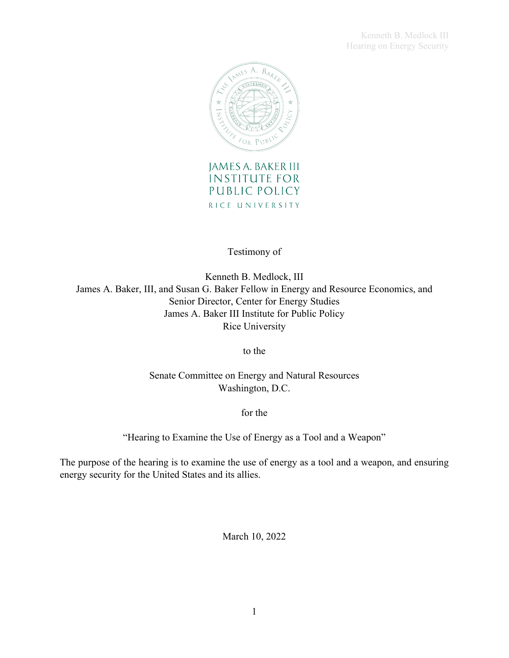Kenneth B. Medlock III Hearing on Energy Security



**INSTITUTE FOR** PUBLIC POLICY RICE UNIVERSITY

Testimony of

Kenneth B. Medlock, III James A. Baker, III, and Susan G. Baker Fellow in Energy and Resource Economics, and Senior Director, Center for Energy Studies James A. Baker III Institute for Public Policy Rice University

to the

Senate Committee on Energy and Natural Resources Washington, D.C.

for the

"Hearing to Examine the Use of Energy as a Tool and a Weapon"

The purpose of the hearing is to examine the use of energy as a tool and a weapon, and ensuring energy security for the United States and its allies.

March 10, 2022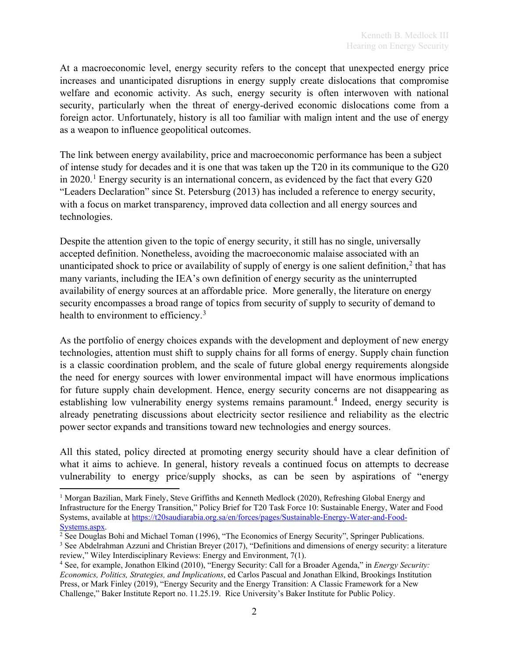At a macroeconomic level, energy security refers to the concept that unexpected energy price increases and unanticipated disruptions in energy supply create dislocations that compromise welfare and economic activity. As such, energy security is often interwoven with national security, particularly when the threat of energy-derived economic dislocations come from a foreign actor. Unfortunately, history is all too familiar with malign intent and the use of energy as a weapon to influence geopolitical outcomes.

The link between energy availability, price and macroeconomic performance has been a subject of intense study for decades and it is one that was taken up the T20 in its communique to the G20 in 2020.<sup>[1](#page-1-0)</sup> Energy security is an international concern, as evidenced by the fact that every G20 "Leaders Declaration" since St. Petersburg (2013) has included a reference to energy security, with a focus on market transparency, improved data collection and all energy sources and technologies.

Despite the attention given to the topic of energy security, it still has no single, universally accepted definition. Nonetheless, avoiding the macroeconomic malaise associated with an unanticipated shock to price or availability of supply of energy is one salient definition, [2](#page-1-1) that has many variants, including the IEA's own definition of energy security as the uninterrupted availability of energy sources at an affordable price. More generally, the literature on energy security encompasses a broad range of topics from security of supply to security of demand to health to environment to efficiency.<sup>[3](#page-1-2)</sup>

As the portfolio of energy choices expands with the development and deployment of new energy technologies, attention must shift to supply chains for all forms of energy. Supply chain function is a classic coordination problem, and the scale of future global energy requirements alongside the need for energy sources with lower environmental impact will have enormous implications for future supply chain development. Hence, energy security concerns are not disappearing as establishing low vulnerability energy systems remains paramount. [4](#page-1-3) Indeed, energy security is already penetrating discussions about electricity sector resilience and reliability as the electric power sector expands and transitions toward new technologies and energy sources.

All this stated, policy directed at promoting energy security should have a clear definition of what it aims to achieve. In general, history reveals a continued focus on attempts to decrease vulnerability to energy price/supply shocks, as can be seen by aspirations of "energy

<span id="page-1-2"></span>review," Wiley Interdisciplinary Reviews: Energy and Environment, 7(1).

<span id="page-1-0"></span><sup>&</sup>lt;sup>1</sup> Morgan Bazilian, Mark Finely, Steve Griffiths and Kenneth Medlock (2020), Refreshing Global Energy and Infrastructure for the Energy Transition," Policy Brief for T20 Task Force 10: Sustainable Energy, Water and Food Systems, available at https://t20saudiarabia.org.sa/en/forces/pages/Sustainable-Energy-Water-and-Food-Systems.aspx.

<span id="page-1-1"></span> $2$  See Douglas Bohi and Michael Toman (1996), "The Economics of Energy Security", Springer Publications. <sup>3</sup> See Abdelrahman Azzuni and Christian Breyer (2017), "Definitions and dimensions of energy security: a literature

<span id="page-1-3"></span><sup>4</sup> See, for example, Jonathon Elkind (2010), "Energy Security: Call for a Broader Agenda," in *Energy Security: Economics, Politics, Strategies, and Implications*, ed Carlos Pascual and Jonathan Elkind, Brookings Institution Press, or Mark Finley (2019), "Energy Security and the Energy Transition: A Classic Framework for a New Challenge," Baker Institute Report no. 11.25.19. Rice University's Baker Institute for Public Policy.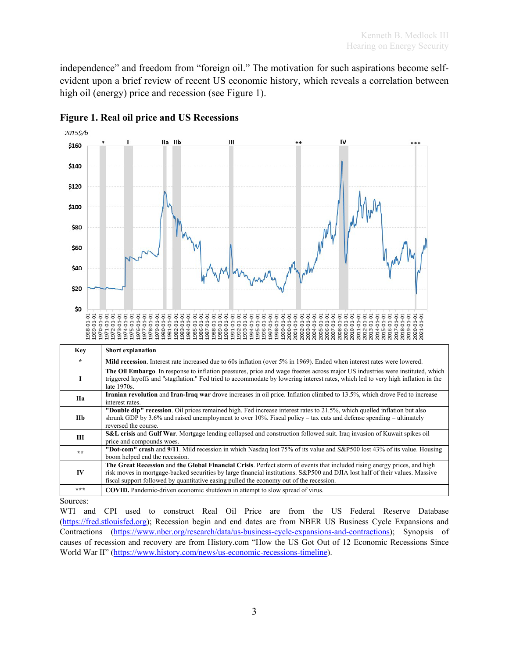independence" and freedom from "foreign oil." The motivation for such aspirations become selfevident upon a brief review of recent US economic history, which reveals a correlation between high oil (energy) price and recession (see Figure 1).



## **Figure 1. Real oil price and US Recessions**

Sources:

WTI and CPI used to construct Real Oil Price are from the US Federal Reserve Database [\(https://fred.stlouisfed.org\)](https://fred.stlouisfed.org/); Recession begin and end dates are from NBER US Business Cycle Expansions and Contractions [\(https://www.nber.org/research/data/us-business-cycle-expansions-and-contractions\)](https://www.nber.org/research/data/us-business-cycle-expansions-and-contractions); Synopsis of causes of recession and recovery are from History.com "How the US Got Out of 12 Economic Recessions Since World War II" [\(https://www.history.com/news/us-economic-recessions-timeline\)](https://www.history.com/news/us-economic-recessions-timeline).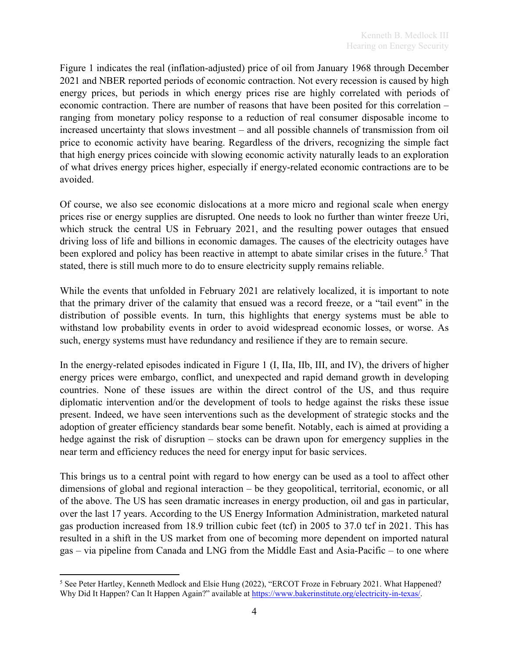Figure 1 indicates the real (inflation-adjusted) price of oil from January 1968 through December 2021 and NBER reported periods of economic contraction. Not every recession is caused by high energy prices, but periods in which energy prices rise are highly correlated with periods of economic contraction. There are number of reasons that have been posited for this correlation – ranging from monetary policy response to a reduction of real consumer disposable income to increased uncertainty that slows investment – and all possible channels of transmission from oil price to economic activity have bearing. Regardless of the drivers, recognizing the simple fact that high energy prices coincide with slowing economic activity naturally leads to an exploration of what drives energy prices higher, especially if energy-related economic contractions are to be avoided.

Of course, we also see economic dislocations at a more micro and regional scale when energy prices rise or energy supplies are disrupted. One needs to look no further than winter freeze Uri, which struck the central US in February 2021, and the resulting power outages that ensued driving loss of life and billions in economic damages. The causes of the electricity outages have been explored and policy has been reactive in attempt to abate similar crises in the future.<sup>[5](#page-3-0)</sup> That stated, there is still much more to do to ensure electricity supply remains reliable.

While the events that unfolded in February 2021 are relatively localized, it is important to note that the primary driver of the calamity that ensued was a record freeze, or a "tail event" in the distribution of possible events. In turn, this highlights that energy systems must be able to withstand low probability events in order to avoid widespread economic losses, or worse. As such, energy systems must have redundancy and resilience if they are to remain secure.

In the energy-related episodes indicated in Figure 1 (I, IIa, IIb, III, and IV), the drivers of higher energy prices were embargo, conflict, and unexpected and rapid demand growth in developing countries. None of these issues are within the direct control of the US, and thus require diplomatic intervention and/or the development of tools to hedge against the risks these issue present. Indeed, we have seen interventions such as the development of strategic stocks and the adoption of greater efficiency standards bear some benefit. Notably, each is aimed at providing a hedge against the risk of disruption – stocks can be drawn upon for emergency supplies in the near term and efficiency reduces the need for energy input for basic services.

This brings us to a central point with regard to how energy can be used as a tool to affect other dimensions of global and regional interaction – be they geopolitical, territorial, economic, or all of the above. The US has seen dramatic increases in energy production, oil and gas in particular, over the last 17 years. According to the US Energy Information Administration, marketed natural gas production increased from 18.9 trillion cubic feet (tcf) in 2005 to 37.0 tcf in 2021. This has resulted in a shift in the US market from one of becoming more dependent on imported natural gas – via pipeline from Canada and LNG from the Middle East and Asia-Pacific – to one where

<span id="page-3-0"></span><sup>&</sup>lt;sup>5</sup> See Peter Hartley, Kenneth Medlock and Elsie Hung (2022), "ERCOT Froze in February 2021. What Happened? Why Did It Happen? Can It Happen Again?" available at [https://www.bakerinstitute.org/electricity-in-texas/.](https://www.bakerinstitute.org/electricity-in-texas/)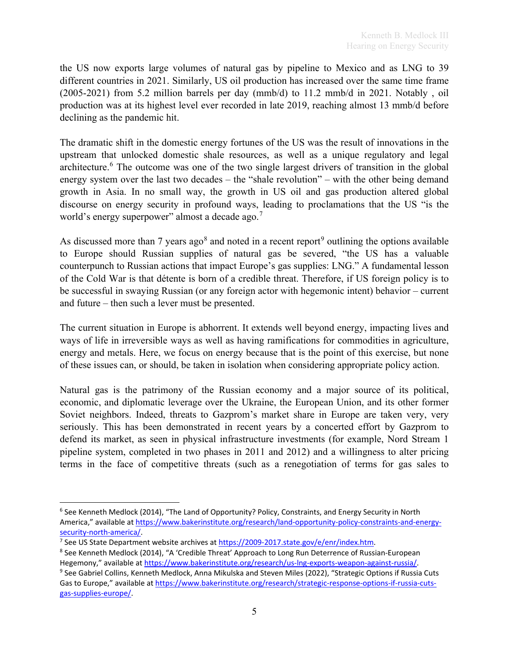the US now exports large volumes of natural gas by pipeline to Mexico and as LNG to 39 different countries in 2021. Similarly, US oil production has increased over the same time frame (2005-2021) from 5.2 million barrels per day (mmb/d) to 11.2 mmb/d in 2021. Notably , oil production was at its highest level ever recorded in late 2019, reaching almost 13 mmb/d before declining as the pandemic hit.

The dramatic shift in the domestic energy fortunes of the US was the result of innovations in the upstream that unlocked domestic shale resources, as well as a unique regulatory and legal architecture.<sup>[6](#page-4-0)</sup> The outcome was one of the two single largest drivers of transition in the global energy system over the last two decades – the "shale revolution" – with the other being demand growth in Asia. In no small way, the growth in US oil and gas production altered global discourse on energy security in profound ways, leading to proclamations that the US "is the world's energy superpower" almost a decade ago.<sup>[7](#page-4-1)</sup>

As discussed more than 7 years ago<sup>[8](#page-4-2)</sup> and noted in a recent report<sup>[9](#page-4-3)</sup> outlining the options available to Europe should Russian supplies of natural gas be severed, "the US has a valuable counterpunch to Russian actions that impact Europe's gas supplies: LNG." A fundamental lesson of the Cold War is that détente is born of a credible threat. Therefore, if US foreign policy is to be successful in swaying Russian (or any foreign actor with hegemonic intent) behavior – current and future – then such a lever must be presented.

The current situation in Europe is abhorrent. It extends well beyond energy, impacting lives and ways of life in irreversible ways as well as having ramifications for commodities in agriculture, energy and metals. Here, we focus on energy because that is the point of this exercise, but none of these issues can, or should, be taken in isolation when considering appropriate policy action.

Natural gas is the patrimony of the Russian economy and a major source of its political, economic, and diplomatic leverage over the Ukraine, the European Union, and its other former Soviet neighbors. Indeed, threats to Gazprom's market share in Europe are taken very, very seriously. This has been demonstrated in recent years by a concerted effort by Gazprom to defend its market, as seen in physical infrastructure investments (for example, Nord Stream 1 pipeline system, completed in two phases in 2011 and 2012) and a willingness to alter pricing terms in the face of competitive threats (such as a renegotiation of terms for gas sales to

<span id="page-4-0"></span><sup>&</sup>lt;sup>6</sup> See Kenneth Medlock (2014), "The Land of Opportunity? Policy, Constraints, and Energy Security in North America," available a[t https://www.bakerinstitute.org/research/land-opportunity-policy-constraints-and-energy](https://www.bakerinstitute.org/research/land-opportunity-policy-constraints-and-energy-security-north-america/)[security-north-america/.](https://www.bakerinstitute.org/research/land-opportunity-policy-constraints-and-energy-security-north-america/)

<span id="page-4-2"></span><span id="page-4-1"></span><sup>&</sup>lt;sup>7</sup> See US State Department website archives at [https://2009-2017.state.gov/e/enr/index.htm.](https://2009-2017.state.gov/e/enr/index.htm)<br><sup>8</sup> See Kenneth Medlock (2014), "A 'Credible Threat' Approach to Long Run Deterrence of Russian-European

<span id="page-4-3"></span>Hegemony," available at https://www.bakerinstitute.org/research/us-lng-exports-weapon-against-russia/.<br><sup>9</sup> See Gabriel Collins, Kenneth Medlock, Anna Mikulska and Steven Miles (2022), "Strategic Options if Russia Cuts Gas to Europe," available at [https://www.bakerinstitute.org/research/strategic-response-options-if-russia-cuts](https://www.bakerinstitute.org/research/strategic-response-options-if-russia-cuts-gas-supplies-europe/)[gas-supplies-europe/.](https://www.bakerinstitute.org/research/strategic-response-options-if-russia-cuts-gas-supplies-europe/)